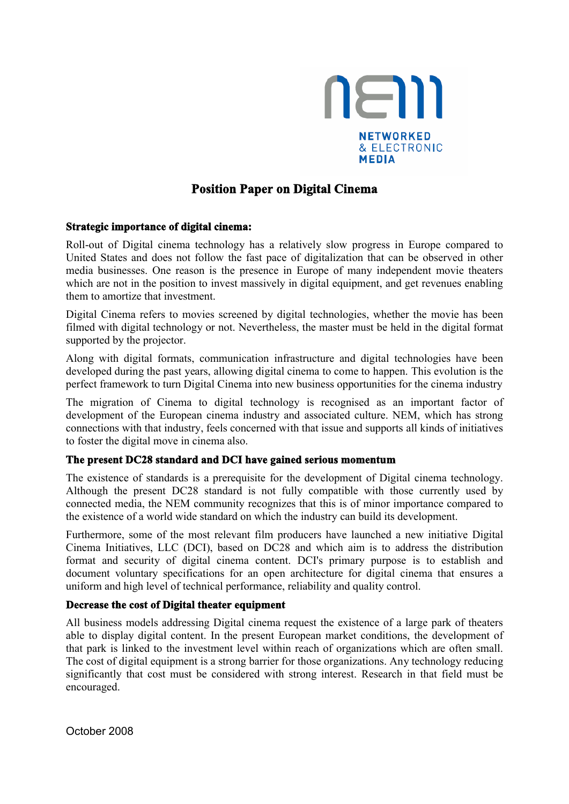

# **Position Paper on Digital Cinema**

#### **Strategic importance of digital cinema:**

Roll-out of Digital cinema technology has a relatively slow progress in Europe compared to United States and does not follow the fast pace of digitalization that can be observed in other media businesses. One reason is the presence in Europe of many independent movie theaters which are not in the position to invest massively in digital equipment, and get revenues enabling them to amortize that investment.

Digital Cinema refers to movies screened by digital technologies, whether the movie has been filmed with digital technology or not. Nevertheless, the master must be held in the digital format supported by the projector.

Along with digital formats, communication infrastructure and digital technologies have been developed during the past years, allowing digital cinema to come to happen. This evolution is the perfect framework to turn Digital Cinema into new business opportunities for the cinema industry

The migration of Cinema to digital technology is recognised as an important factor of development of the European cinema industry and associated culture. NEM, which has strong connections with that industry, feels concerned with that issue and supports all kinds of initiatives to foster the digital move in cinema also.

## **The present DC28 standard and DCI have gained serious momentum**

The existence of standards is a prerequisite for the development of Digital cinema technology. Although the present DC28 standard is not fully compatible with those currently used by connected media, the NEM community recognizes that this is of minor importance compared to the existence of a world wide standard on which the industry can build its development.

Furthermore, some of the most relevant film producers have launched a new initiative Digital Cinema Initiatives, LLC (DCI), based on DC28 and which aim is to address the distribution format and security of digital cinema content. DCI's primary purpose is to establish and document voluntary specifications for an open architecture for digital cinema that ensures a uniform and high level of technical performance, reliability and quality control.

## **Decrease the cost of Digital theater equipment**

All business models addressing Digital cinema request the existence of a large park of theaters able to display digital content. In the present European market conditions, the development of that park is linked to the investment level within reach of organizations which are often small. The cost of digital equipment is a strong barrier for those organizations. Any technology reducing significantly that cost must be considered with strong interest. Research in that field must be encouraged.